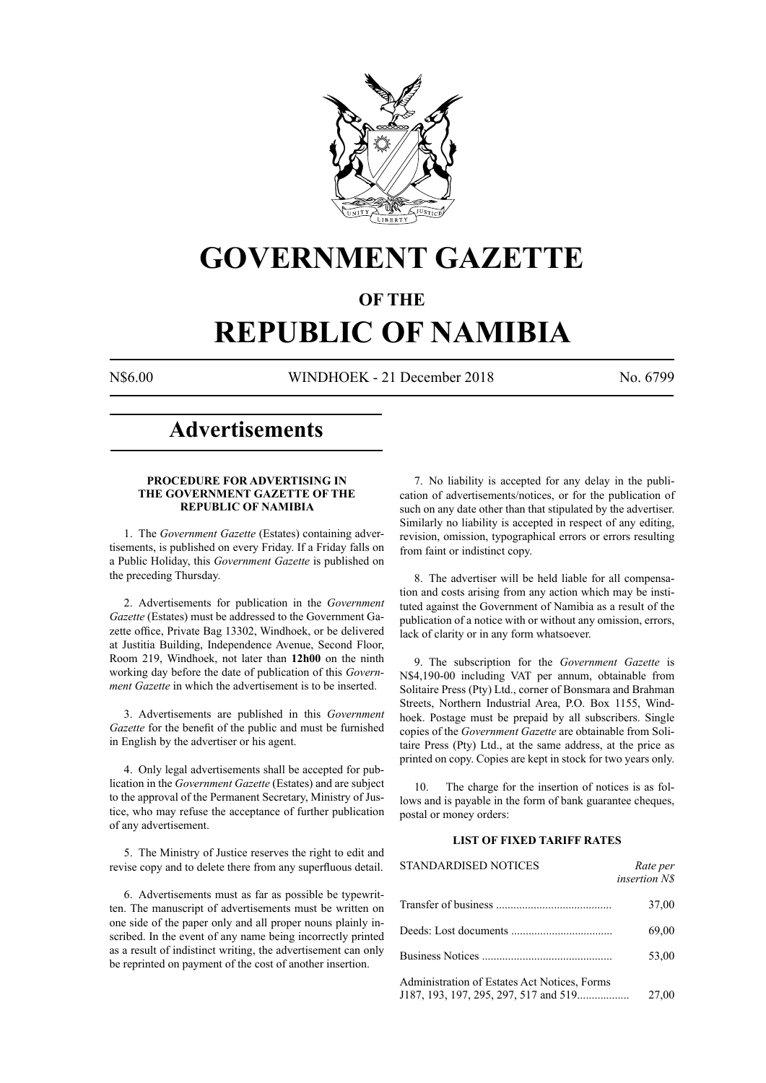

## **GOVERNMENT GAZETTE**

### **OF THE**

# **REPUBLIC OF NAMIBIA**

N\$6.00 WINDHOEK - 21 December 2018 No. 6799

### **Advertisements**

#### **PROCEDURE FOR ADVERTISING IN THE GOVERNMENT GAZETTE OF THE REPUBLIC OF NAMIBIA**

1. The *Government Gazette* (Estates) containing advertisements, is published on every Friday. If a Friday falls on a Public Holiday, this *Government Gazette* is published on the preceding Thursday.

2. Advertisements for publication in the *Government Gazette* (Estates) must be addressed to the Government Gazette office, Private Bag 13302, Windhoek, or be delivered at Justitia Building, Independence Avenue, Second Floor, Room 219, Windhoek, not later than **12h00** on the ninth working day before the date of publication of this *Government Gazette* in which the advertisement is to be inserted.

3. Advertisements are published in this *Government Gazette* for the benefit of the public and must be furnished in English by the advertiser or his agent.

4. Only legal advertisements shall be accepted for publication in the *Government Gazette* (Estates) and are subject to the approval of the Permanent Secretary, Ministry of Justice, who may refuse the acceptance of further publication of any advertisement.

5. The Ministry of Justice reserves the right to edit and revise copy and to delete there from any superfluous detail.

6. Advertisements must as far as possible be typewritten. The manuscript of advertisements must be written on one side of the paper only and all proper nouns plainly inscribed. In the event of any name being incorrectly printed as a result of indistinct writing, the advertisement can only be reprinted on payment of the cost of another insertion.

7. No liability is accepted for any delay in the publication of advertisements/notices, or for the publication of such on any date other than that stipulated by the advertiser. Similarly no liability is accepted in respect of any editing, revision, omission, typographical errors or errors resulting from faint or indistinct copy.

8. The advertiser will be held liable for all compensation and costs arising from any action which may be instituted against the Government of Namibia as a result of the publication of a notice with or without any omission, errors, lack of clarity or in any form whatsoever.

9. The subscription for the *Government Gazette* is N\$4,190-00 including VAT per annum, obtainable from Solitaire Press (Pty) Ltd., corner of Bonsmara and Brahman Streets, Northern Industrial Area, P.O. Box 1155, Windhoek. Postage must be prepaid by all subscribers. Single copies of the *Government Gazette* are obtainable from Solitaire Press (Pty) Ltd., at the same address, at the price as printed on copy. Copies are kept in stock for two years only.

10. The charge for the insertion of notices is as follows and is payable in the form of bank guarantee cheques, postal or money orders:

#### **LIST OF FIXED TARIFF RATES**

| <b>STANDARDISED NOTICES</b>                                                           | Rate per<br><i>insertion NS</i> |
|---------------------------------------------------------------------------------------|---------------------------------|
|                                                                                       | 37,00                           |
|                                                                                       | 69,00                           |
| Business Notices                                                                      | 53,00                           |
| Administration of Estates Act Notices, Forms<br>J187, 193, 197, 295, 297, 517 and 519 | 27,00                           |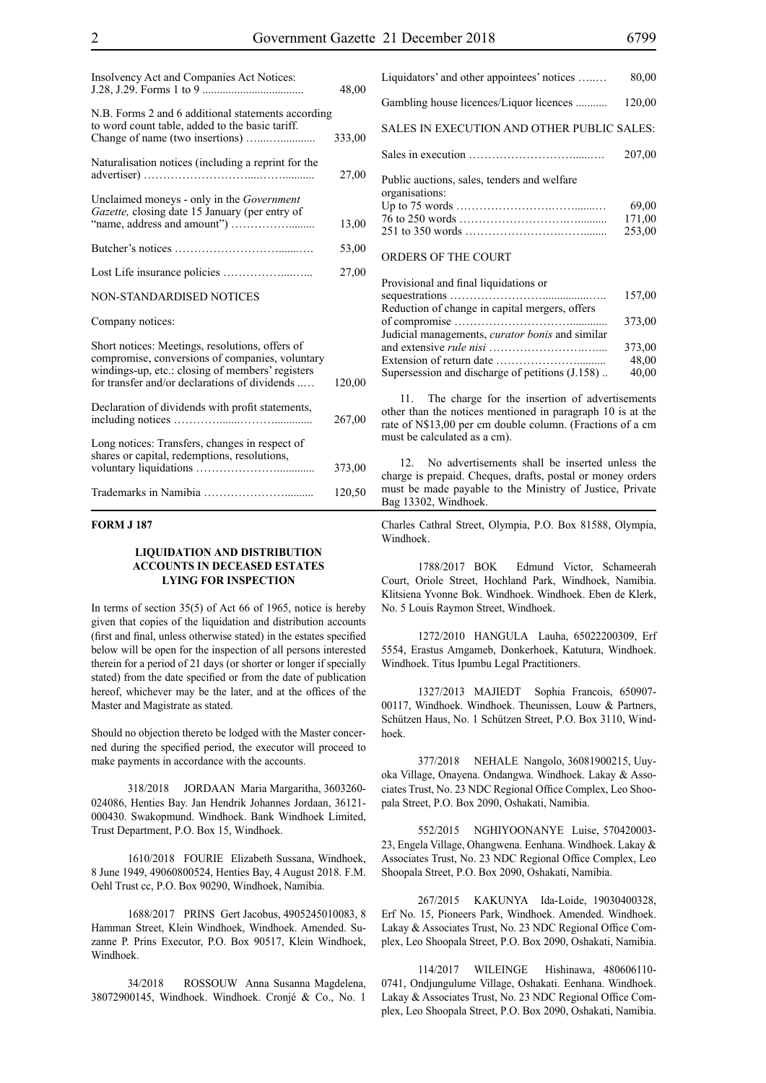| Insolvency Act and Companies Act Notices:                                                                                                                                                               | 48,00  |
|---------------------------------------------------------------------------------------------------------------------------------------------------------------------------------------------------------|--------|
| N.B. Forms 2 and 6 additional statements according<br>to word count table, added to the basic tariff.                                                                                                   | 333,00 |
| Naturalisation notices (including a reprint for the                                                                                                                                                     | 27,00  |
| Unclaimed moneys - only in the Government<br>Gazette, closing date 15 January (per entry of                                                                                                             | 13,00  |
|                                                                                                                                                                                                         | 53,00  |
|                                                                                                                                                                                                         | 27,00  |
| <b>NON-STANDARDISED NOTICES</b>                                                                                                                                                                         |        |
| Company notices:                                                                                                                                                                                        |        |
| Short notices: Meetings, resolutions, offers of<br>compromise, conversions of companies, voluntary<br>windings-up, etc.: closing of members' registers<br>for transfer and/or declarations of dividends | 120,00 |
| Declaration of dividends with profit statements,                                                                                                                                                        | 267,00 |
| Long notices: Transfers, changes in respect of<br>shares or capital, redemptions, resolutions,                                                                                                          | 373,00 |
|                                                                                                                                                                                                         | 120,50 |

#### **FORM J 187**

#### **LIQUIDATION AND DISTRIBUTION ACCOUNTS IN DECEASED ESTATES LYING FOR INSPECTION**

In terms of section 35(5) of Act 66 of 1965, notice is hereby given that copies of the liquidation and distribution accounts (first and final, unless otherwise stated) in the estates specified below will be open for the inspection of all persons interested therein for a period of 21 days (or shorter or longer if specially stated) from the date specified or from the date of publication hereof, whichever may be the later, and at the offices of the Master and Magistrate as stated.

Should no objection thereto be lodged with the Master concerned during the specified period, the executor will proceed to make payments in accordance with the accounts.

318/2018 JORDAAN Maria Margaritha, 3603260- 024086, Henties Bay. Jan Hendrik Johannes Jordaan, 36121- 000430. Swakopmund. Windhoek. Bank Windhoek Limited, Trust Department, P.O. Box 15, Windhoek.

1610/2018 FOURIE Elizabeth Sussana, Windhoek, 8 June 1949, 49060800524, Henties Bay, 4 August 2018. F.M. Oehl Trust cc, P.O. Box 90290, Windhoek, Namibia.

1688/2017 PRINS Gert Jacobus, 4905245010083, 8 Hamman Street, Klein Windhoek, Windhoek. Amended. Suzanne P. Prins Executor, P.O. Box 90517, Klein Windhoek, Windhoek.

34/2018 ROSSOUW Anna Susanna Magdelena, 38072900145, Windhoek. Windhoek. Cronjé & Co., No. 1

| Liquidators' and other appointees' notices                    | 80,00                     |
|---------------------------------------------------------------|---------------------------|
| Gambling house licences/Liquor licences                       | 120,00                    |
| SALES IN EXECUTION AND OTHER PUBLIC SALES:                    |                           |
|                                                               | 207,00                    |
| Public auctions, sales, tenders and welfare<br>organisations: | 69,00<br>171,00<br>253.00 |
| ORDERS OF THE COURT                                           |                           |

| Provisional and final liquidations or                  |        |
|--------------------------------------------------------|--------|
|                                                        | 157,00 |
| Reduction of change in capital mergers, offers         |        |
|                                                        | 373,00 |
| Judicial managements, <i>curator bonis</i> and similar |        |
|                                                        | 373,00 |
|                                                        | 48,00  |
| Supersession and discharge of petitions (J.158)        | 40,00  |
|                                                        |        |

11. The charge for the insertion of advertisements other than the notices mentioned in paragraph 10 is at the rate of N\$13,00 per cm double column. (Fractions of a cm must be calculated as a cm).

12. No advertisements shall be inserted unless the charge is prepaid. Cheques, drafts, postal or money orders must be made payable to the Ministry of Justice, Private Bag 13302, Windhoek.

Charles Cathral Street, Olympia, P.O. Box 81588, Olympia, Windhoek.

1788/2017 BOK Edmund Victor, Schameerah Court, Oriole Street, Hochland Park, Windhoek, Namibia. Klitsiena Yvonne Bok. Windhoek. Windhoek. Eben de Klerk, No. 5 Louis Raymon Street, Windhoek.

1272/2010 HANGULA Lauha, 65022200309, Erf 5554, Erastus Amgameb, Donkerhoek, Katutura, Windhoek. Windhoek. Titus Ipumbu Legal Practitioners.

1327/2013 MAJIEDT Sophia Francois, 650907- 00117, Windhoek. Windhoek. Theunissen, Louw & Partners, Schützen Haus, No. 1 Schützen Street, P.O. Box 3110, Windhoek.

377/2018 NEHALE Nangolo, 36081900215, Uuyoka Village, Onayena. Ondangwa. Windhoek. Lakay & Associates Trust, No. 23 NDC Regional Office Complex, Leo Shoopala Street, P.O. Box 2090, Oshakati, Namibia.

552/2015 NGHIYOONANYE Luise, 570420003- 23, Engela Village, Ohangwena. Eenhana. Windhoek. Lakay & Associates Trust, No. 23 NDC Regional Office Complex, Leo Shoopala Street, P.O. Box 2090, Oshakati, Namibia.

267/2015 KAKUNYA Ida-Loide, 19030400328, Erf No. 15, Pioneers Park, Windhoek. Amended. Windhoek. Lakay & Associates Trust, No. 23 NDC Regional Office Complex, Leo Shoopala Street, P.O. Box 2090, Oshakati, Namibia.

114/2017 WILEINGE Hishinawa, 480606110- 0741, Ondjungulume Village, Oshakati. Eenhana. Windhoek. Lakay & Associates Trust, No. 23 NDC Regional Office Complex, Leo Shoopala Street, P.O. Box 2090, Oshakati, Namibia.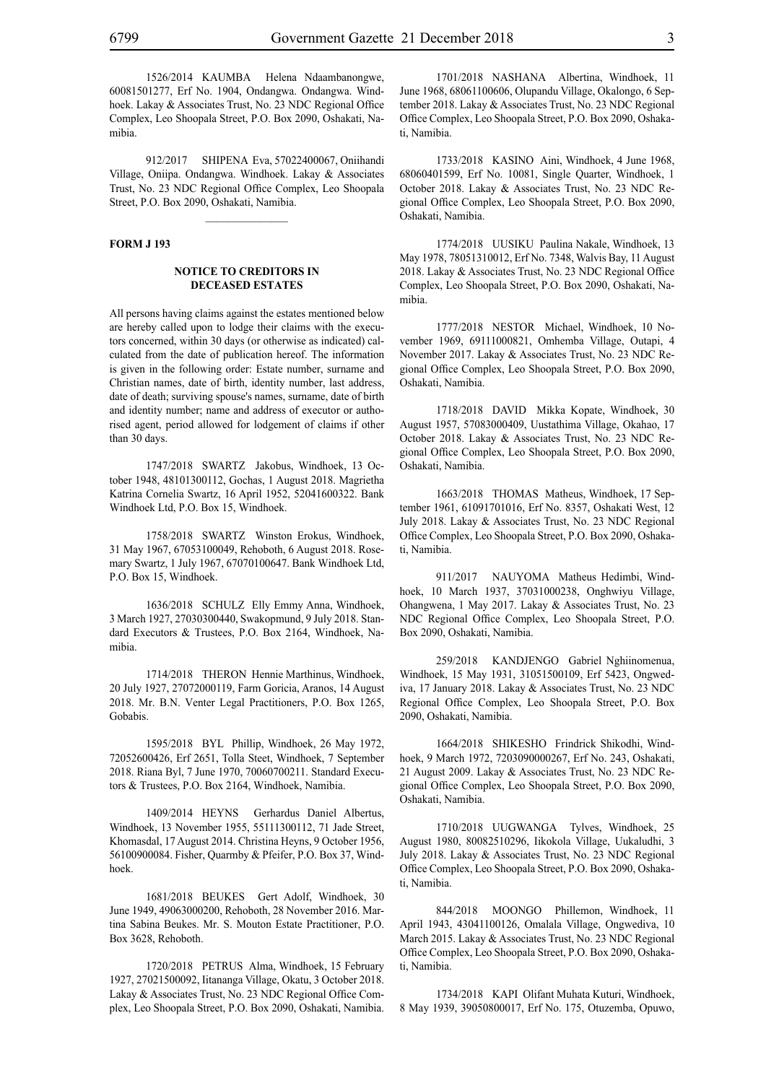1526/2014 KAUMBA Helena Ndaambanongwe, 60081501277, Erf No. 1904, Ondangwa. Ondangwa. Windhoek. Lakay & Associates Trust, No. 23 NDC Regional Office Complex, Leo Shoopala Street, P.O. Box 2090, Oshakati, Namibia.

912/2017 SHIPENA Eva, 57022400067, Oniihandi Village, Oniipa. Ondangwa. Windhoek. Lakay & Associates Trust, No. 23 NDC Regional Office Complex, Leo Shoopala Street, P.O. Box 2090, Oshakati, Namibia.

 $\frac{1}{2}$ 

#### **FORM J 193**

#### **NOTICE TO CREDITORS IN DECEASED ESTATES**

All persons having claims against the estates mentioned below are hereby called upon to lodge their claims with the executors concerned, within 30 days (or otherwise as indicated) calculated from the date of publication hereof. The information is given in the following order: Estate number, surname and Christian names, date of birth, identity number, last address, date of death; surviving spouse's names, surname, date of birth and identity number; name and address of executor or authorised agent, period allowed for lodgement of claims if other than 30 days.

1747/2018 SWARTZ Jakobus, Windhoek, 13 October 1948, 48101300112, Gochas, 1 August 2018. Magrietha Katrina Cornelia Swartz, 16 April 1952, 52041600322. Bank Windhoek Ltd, P.O. Box 15, Windhoek.

1758/2018 SWARTZ Winston Erokus, Windhoek, 31 May 1967, 67053100049, Rehoboth, 6 August 2018. Rosemary Swartz, 1 July 1967, 67070100647. Bank Windhoek Ltd, P.O. Box 15, Windhoek.

1636/2018 SCHULZ Elly Emmy Anna, Windhoek, 3 March 1927, 27030300440, Swakopmund, 9 July 2018. Standard Executors & Trustees, P.O. Box 2164, Windhoek, Namibia.

1714/2018 THERON Hennie Marthinus, Windhoek, 20 July 1927, 27072000119, Farm Goricia, Aranos, 14 August 2018. Mr. B.N. Venter Legal Practitioners, P.O. Box 1265, Gobabis.

1595/2018 BYL Phillip, Windhoek, 26 May 1972, 72052600426, Erf 2651, Tolla Steet, Windhoek, 7 September 2018. Riana Byl, 7 June 1970, 70060700211. Standard Executors & Trustees, P.O. Box 2164, Windhoek, Namibia.

1409/2014 HEYNS Gerhardus Daniel Albertus, Windhoek, 13 November 1955, 55111300112, 71 Jade Street, Khomasdal, 17 August 2014. Christina Heyns, 9 October 1956, 56100900084. Fisher, Quarmby & Pfeifer, P.O. Box 37, Windhoek.

1681/2018 BEUKES Gert Adolf, Windhoek, 30 June 1949, 49063000200, Rehoboth, 28 November 2016. Martina Sabina Beukes. Mr. S. Mouton Estate Practitioner, P.O. Box 3628, Rehoboth.

1720/2018 PETRUS Alma, Windhoek, 15 February 1927, 27021500092, Iitananga Village, Okatu, 3 October 2018. Lakay & Associates Trust, No. 23 NDC Regional Office Complex, Leo Shoopala Street, P.O. Box 2090, Oshakati, Namibia.

1701/2018 NASHANA Albertina, Windhoek, 11 June 1968, 68061100606, Olupandu Village, Okalongo, 6 September 2018. Lakay & Associates Trust, No. 23 NDC Regional Office Complex, Leo Shoopala Street, P.O. Box 2090, Oshakati, Namibia.

1733/2018 KASINO Aini, Windhoek, 4 June 1968, 68060401599, Erf No. 10081, Single Quarter, Windhoek, 1 October 2018. Lakay & Associates Trust, No. 23 NDC Regional Office Complex, Leo Shoopala Street, P.O. Box 2090, Oshakati, Namibia.

1774/2018 UUSIKU Paulina Nakale, Windhoek, 13 May 1978, 78051310012, Erf No. 7348, Walvis Bay, 11 August 2018. Lakay & Associates Trust, No. 23 NDC Regional Office Complex, Leo Shoopala Street, P.O. Box 2090, Oshakati, Namibia.

1777/2018 NESTOR Michael, Windhoek, 10 November 1969, 69111000821, Omhemba Village, Outapi, 4 November 2017. Lakay & Associates Trust, No. 23 NDC Regional Office Complex, Leo Shoopala Street, P.O. Box 2090, Oshakati, Namibia.

1718/2018 DAVID Mikka Kopate, Windhoek, 30 August 1957, 57083000409, Uustathima Village, Okahao, 17 October 2018. Lakay & Associates Trust, No. 23 NDC Regional Office Complex, Leo Shoopala Street, P.O. Box 2090, Oshakati, Namibia.

1663/2018 THOMAS Matheus, Windhoek, 17 September 1961, 61091701016, Erf No. 8357, Oshakati West, 12 July 2018. Lakay & Associates Trust, No. 23 NDC Regional Office Complex, Leo Shoopala Street, P.O. Box 2090, Oshakati, Namibia.

911/2017 NAUYOMA Matheus Hedimbi, Windhoek, 10 March 1937, 37031000238, Onghwiyu Village, Ohangwena, 1 May 2017. Lakay & Associates Trust, No. 23 NDC Regional Office Complex, Leo Shoopala Street, P.O. Box 2090, Oshakati, Namibia.

259/2018 KANDJENGO Gabriel Nghiinomenua, Windhoek, 15 May 1931, 31051500109, Erf 5423, Ongwediva, 17 January 2018. Lakay & Associates Trust, No. 23 NDC Regional Office Complex, Leo Shoopala Street, P.O. Box 2090, Oshakati, Namibia.

1664/2018 SHIKESHO Frindrick Shikodhi, Windhoek, 9 March 1972, 7203090000267, Erf No. 243, Oshakati, 21 August 2009. Lakay & Associates Trust, No. 23 NDC Regional Office Complex, Leo Shoopala Street, P.O. Box 2090, Oshakati, Namibia.

1710/2018 UUGWANGA Tylves, Windhoek, 25 August 1980, 80082510296, Iikokola Village, Uukaludhi, 3 July 2018. Lakay & Associates Trust, No. 23 NDC Regional Office Complex, Leo Shoopala Street, P.O. Box 2090, Oshakati, Namibia.

844/2018 MOONGO Phillemon, Windhoek, 11 April 1943, 43041100126, Omalala Village, Ongwediva, 10 March 2015. Lakay & Associates Trust, No. 23 NDC Regional Office Complex, Leo Shoopala Street, P.O. Box 2090, Oshakati, Namibia.

1734/2018 kapi Olifant Muhata Kuturi, Windhoek, 8 May 1939, 39050800017, Erf No. 175, Otuzemba, Opuwo,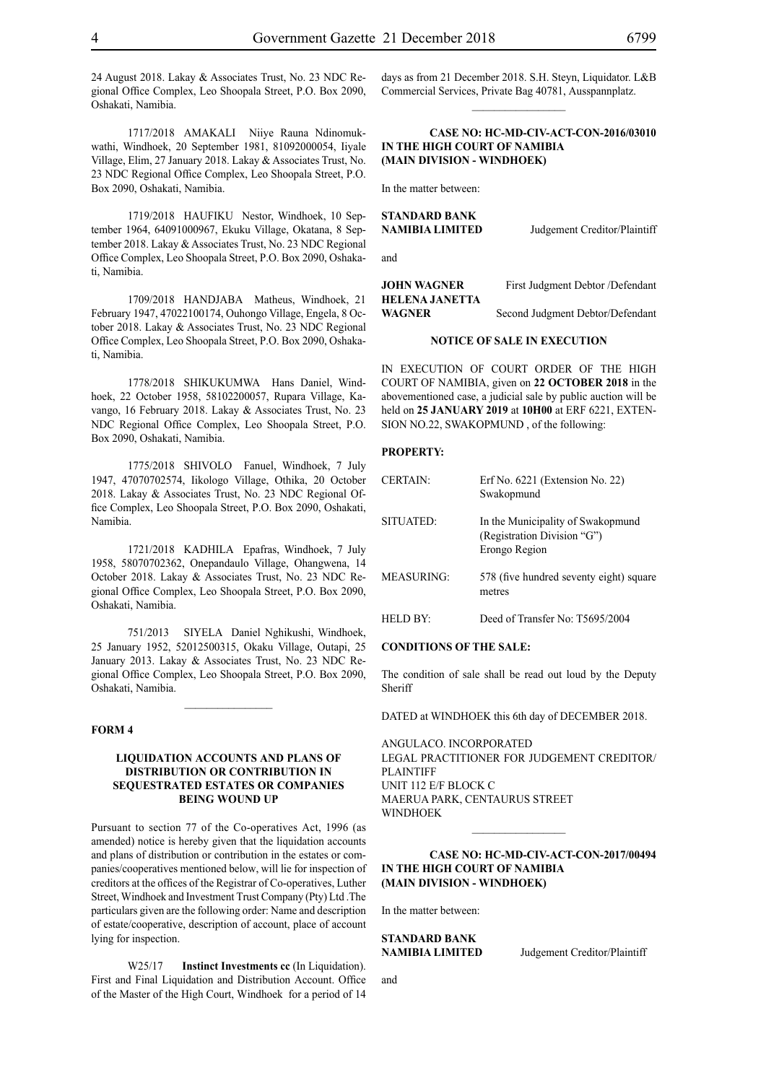24 August 2018. Lakay & Associates Trust, No. 23 NDC Regional Office Complex, Leo Shoopala Street, P.O. Box 2090, Oshakati, Namibia.

1717/2018 AMAKALI Niiye Rauna Ndinomukwathi, Windhoek, 20 September 1981, 81092000054, Iiyale Village, Elim, 27 January 2018. Lakay & Associates Trust, No. 23 NDC Regional Office Complex, Leo Shoopala Street, P.O. Box 2090, Oshakati, Namibia.

1719/2018 HAUFIKU Nestor, Windhoek, 10 September 1964, 64091000967, Ekuku Village, Okatana, 8 September 2018. Lakay & Associates Trust, No. 23 NDC Regional Office Complex, Leo Shoopala Street, P.O. Box 2090, Oshakati, Namibia.

1709/2018 HANDJABA Matheus, Windhoek, 21 February 1947, 47022100174, Ouhongo Village, Engela, 8 October 2018. Lakay & Associates Trust, No. 23 NDC Regional Office Complex, Leo Shoopala Street, P.O. Box 2090, Oshakati, Namibia.

1778/2018 SHIKUKUMWA Hans Daniel, Windhoek, 22 October 1958, 58102200057, Rupara Village, Kavango, 16 February 2018. Lakay & Associates Trust, No. 23 NDC Regional Office Complex, Leo Shoopala Street, P.O. Box 2090, Oshakati, Namibia.

1775/2018 SHIVOLO Fanuel, Windhoek, 7 July 1947, 47070702574, Iikologo Village, Othika, 20 October 2018. Lakay & Associates Trust, No. 23 NDC Regional Office Complex, Leo Shoopala Street, P.O. Box 2090, Oshakati, Namibia.

1721/2018 KADHILA Epafras, Windhoek, 7 July 1958, 58070702362, Onepandaulo Village, Ohangwena, 14 October 2018. Lakay & Associates Trust, No. 23 NDC Regional Office Complex, Leo Shoopala Street, P.O. Box 2090, Oshakati, Namibia.

751/2013 SIYELA Daniel Nghikushi, Windhoek, 25 January 1952, 52012500315, Okaku Village, Outapi, 25 January 2013. Lakay & Associates Trust, No. 23 NDC Regional Office Complex, Leo Shoopala Street, P.O. Box 2090, Oshakati, Namibia.

 $\frac{1}{2}$ 

#### **FORM 4**

#### **LIQUIDATION ACCOUNTS AND PLANS OF DISTRIBUTION OR CONTRIBUTION IN SEQUESTRATED ESTATES OR COMPANIES BEING WOUND UP**

Pursuant to section 77 of the Co-operatives Act, 1996 (as amended) notice is hereby given that the liquidation accounts and plans of distribution or contribution in the estates or companies/cooperatives mentioned below, will lie for inspection of creditors at the offices of the Registrar of Co-operatives, Luther Street, Windhoek and Investment Trust Company (Pty) Ltd .The particulars given are the following order: Name and description of estate/cooperative, description of account, place of account lying for inspection.

W25/17 **Instinct Investments cc** (In Liquidation). First and Final Liquidation and Distribution Account. Office of the Master of the High Court, Windhoek for a period of 14

days as from 21 December 2018. S.H. Steyn, Liquidator. L&B Commercial Services, Private Bag 40781, Ausspannplatz.  $\frac{1}{2}$ 

#### **CASE NO: HC-MD-CIV-ACT-CON-2016/03010 IN THE HIGH COURT OF NAMIBIA (Main Division - Windhoek)**

In the matter between:

**STANDARD BANK NAMIBIA LIMITED** Judgement Creditor/Plaintiff

**HELENA JANETTA** 

and

**JOHN WAGNER** First Judgment Debtor /Defendant

**WAGNER** Second Judgment Debtor/Defendant

#### **NOTICE OF SALE IN EXECUTION**

IN EXECUTION OF COURT ORDER of THE HIGH COURT OF NAMIBIA, given on **22 OCTOBER 2018** in the abovementioned case, a judicial sale by public auction will be held on **25 JANUARY 2019** at **10H00** at ERF 6221, EXTEN-SION NO.22, SWAKOPMUND , of the following:

#### **PROPERTY:**

| <b>CERTAIN:</b> | Erf No. $6221$ (Extension No. 22)<br>Swakopmund                                   |
|-----------------|-----------------------------------------------------------------------------------|
| SITUATED:       | In the Municipality of Swakopmund<br>(Registration Division "G")<br>Erongo Region |
| MEASURING:      | 578 (five hundred seventy eight) square<br>metres                                 |
| <b>HELD BY:</b> | Deed of Transfer No: T5695/2004                                                   |

#### **CONDITIONS OF THE SALE:**

The condition of sale shall be read out loud by the Deputy Sheriff

DATED at WINDHOEK this 6th day of DECEMBER 2018.

ANGULACO. INCORPORATED Legal Practitioner for Judgement Creditor/ **PLAINTIFF** Unit 112 E/F Block C Maerua Park, Centaurus Street WINDHOEK

#### **CASE NO: HC-MD-CIV-ACT-CON-2017/00494 IN THE HIGH COURT OF NAMIBIA (Main Division - Windhoek)**

 $\frac{1}{2}$ 

In the matter between:

**STANDARD BANK**

**NAMIBIA LIMITED** Judgement Creditor/Plaintiff

and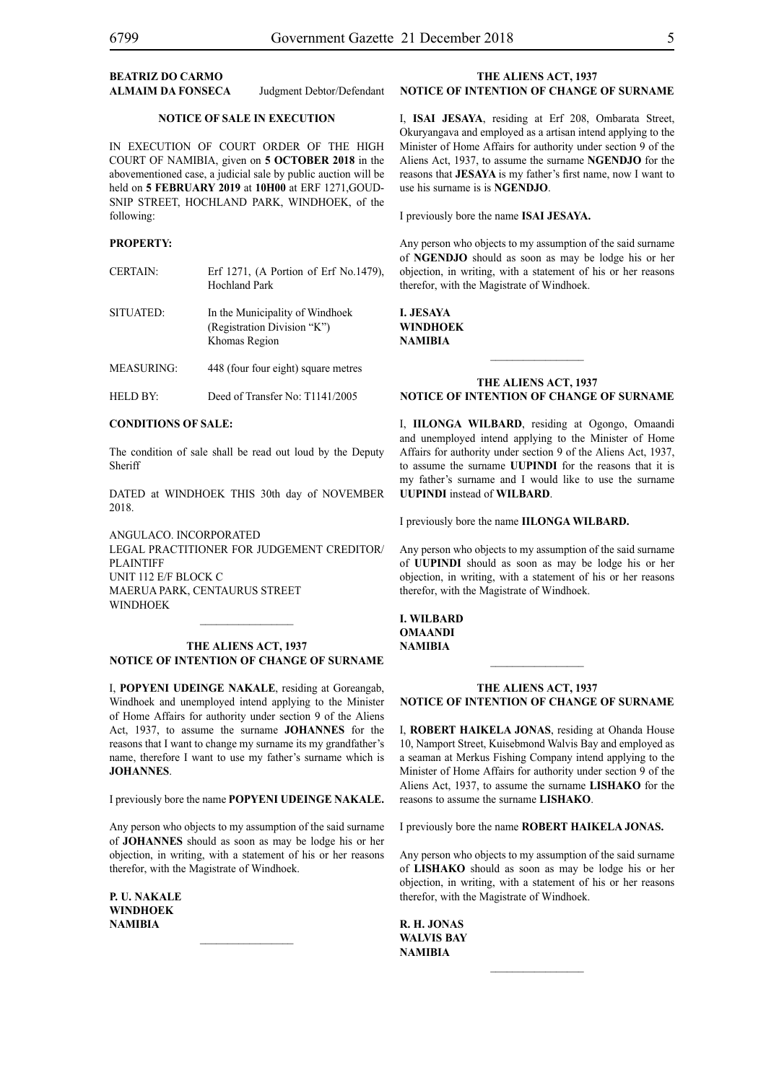#### **BEATRIZ DO CARMO ALMAIM DA FONSECA** Judgment Debtor/Defendant

#### **NOTICE OF SALE IN EXECUTION**

IN EXECUTION OF COURT ORDER of THE HIGH COURT OF NAMIBIA, given on **5 OCTOBER 2018** in the abovementioned case, a judicial sale by public auction will be held on **5 FEBRUARY 2019** at **10H00** at ERF 1271,GOUD-SNIP STREET, HOCHLAND PARK, WINDHOEK, of the following:

#### **PROPERTY:**

CERTAIN: Erf 1271, (A Portion of Erf No.1479), Hochland Park

SITUATED: In the Municipality of Windhoek (Registration Division "K") Khomas Region

MEASURING: 448 (four four eight) square metres

HELD BY: Deed of Transfer No: T1141/2005

#### **CONDITIONS OF SALE:**

The condition of sale shall be read out loud by the Deputy Sheriff

DATED at WINDHOEK THIS 30th day of NOVEMBER 2018.

ANGULACO. INCORPORATED Legal Practitioner for Judgement Creditor/ PLAINTIFF Unit 112 E/F Block C Maerua Park, Centaurus Street **WINDHOEK** 

#### **THE ALIENS ACT, 1937 NOTICE OF INTENTION OF CHANGE OF SURNAME**

I, **popyeni udeinge nakale**, residing at Goreangab, Windhoek and unemployed intend applying to the Minister of Home Affairs for authority under section 9 of the Aliens Act, 1937, to assume the surname **johannes** for the reasons that I want to change my surname its my grandfather's name, therefore I want to use my father's surname which is **JOHANNES**.

I previously bore the name **POPYENI UDEINGE NAKALE.** 

Any person who objects to my assumption of the said surname of **JOHANNES** should as soon as may be lodge his or her objection, in writing, with a statement of his or her reasons therefor, with the Magistrate of Windhoek.

 $\frac{1}{2}$ 

**p. u. nakale windhoek NAMIBIA**

#### **THE ALIENS ACT, 1937 NOTICE OF INTENTION OF CHANGE OF SURNAME**

I, **isai jesaya**, residing at Erf 208, Ombarata Street, Okuryangava and employed as a artisan intend applying to the Minister of Home Affairs for authority under section 9 of the Aliens Act, 1937, to assume the surname **NGENDJO** for the reasons that **JESAYA** is my father's first name, now I want to use his surname is is **NGENDJO**.

I previously bore the name **isai jesaya.**

Any person who objects to my assumption of the said surname of **NGENDJO** should as soon as may be lodge his or her objection, in writing, with a statement of his or her reasons therefor, with the Magistrate of Windhoek.

**i. jesaya windhoek NAMIBIA**

#### **THE ALIENS ACT, 1937 NOTICE OF INTENTION OF CHANGE OF SURNAME**

 $\frac{1}{2}$ 

I, **iilonga wilbard**, residing at Ogongo, Omaandi and unemployed intend applying to the Minister of Home Affairs for authority under section 9 of the Aliens Act, 1937, to assume the surname **UUPINDI** for the reasons that it is my father's surname and I would like to use the surname **UUPINDI** instead of **Wilbard**.

I previously bore the name **iilonga wilbard.**

Any person who objects to my assumption of the said surname of **UUPINDI** should as soon as may be lodge his or her objection, in writing, with a statement of his or her reasons therefor, with the Magistrate of Windhoek.

**i. wilbard omaandi NAMIBIA**

#### **THE ALIENS ACT, 1937 NOTICE OF INTENTION OF CHANGE OF SURNAME**

 $\frac{1}{2}$ 

I, **robert haikela JONAS**, residing at Ohanda House 10, Namport Street, Kuisebmond Walvis Bay and employed as a seaman at Merkus Fishing Company intend applying to the Minister of Home Affairs for authority under section 9 of the Aliens Act, 1937, to assume the surname **lishako** for the reasons to assume the surname **LISHAKO**.

I previously bore the name **robert haikela JONAS.**

Any person who objects to my assumption of the said surname of **LISHAKO** should as soon as may be lodge his or her objection, in writing, with a statement of his or her reasons therefor, with the Magistrate of Windhoek.

**r. h. JONAS walvis bay NAMIBIA**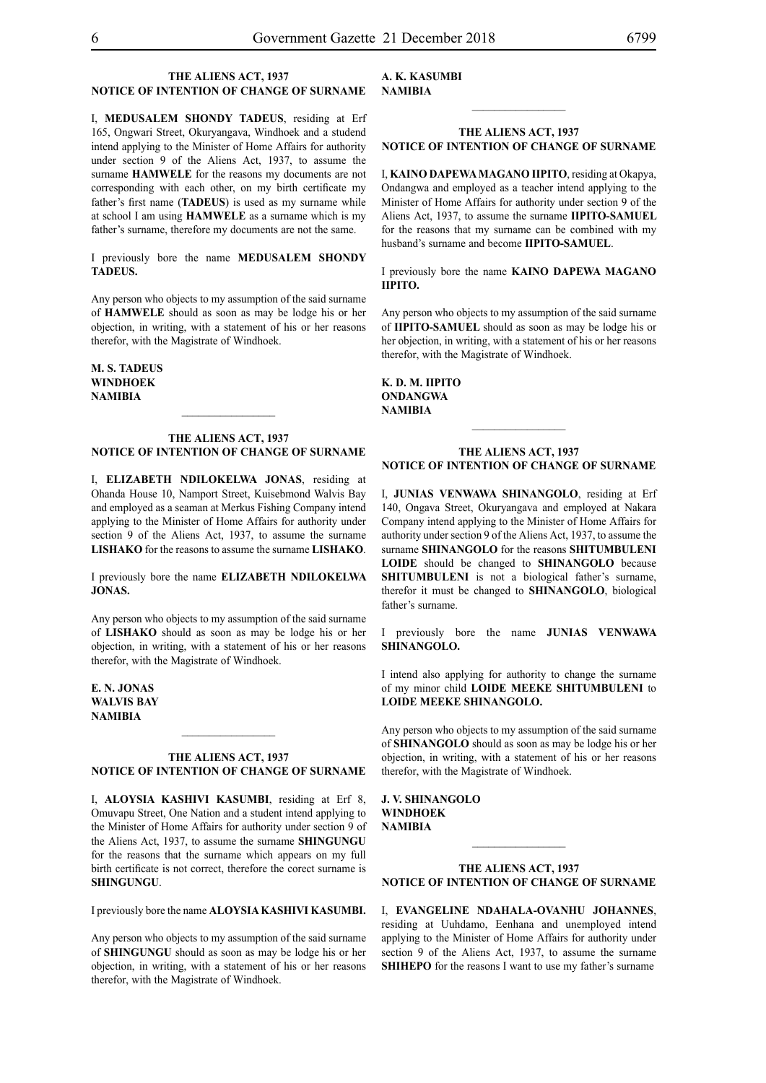#### **THE ALIENS ACT, 1937 NOTICE OF INTENTION OF CHANGE OF SURNAME**

I, **medusalem shondy tadeus**, residing at Erf 165, Ongwari Street, Okuryangava, Windhoek and a studend intend applying to the Minister of Home Affairs for authority under section 9 of the Aliens Act, 1937, to assume the surname **HAMWELE** for the reasons my documents are not corresponding with each other, on my birth certificate my father's first name (**TADEUS**) is used as my surname while at school I am using **HAMWELE** as a surname which is my father's surname, therefore my documents are not the same.

I previously bore the name **medusalem shondy tadeus.**

Any person who objects to my assumption of the said surname of **HAMWELE** should as soon as may be lodge his or her objection, in writing, with a statement of his or her reasons therefor, with the Magistrate of Windhoek.

**m. s. tadeus windhoek NAMIBIA**

#### **THE ALIENS ACT, 1937 NOTICE OF INTENTION OF CHANGE OF SURNAME**

I, **ELIZABETH NDILOKELWA JONAS**, residing at Ohanda House 10, Namport Street, Kuisebmond Walvis Bay and employed as a seaman at Merkus Fishing Company intend applying to the Minister of Home Affairs for authority under section 9 of the Aliens Act, 1937, to assume the surname **lishako** for the reasons to assume the surname **LISHAKO**.

I previously bore the name **ELIZABETH NDILOKELWA JONAS.**

Any person who objects to my assumption of the said surname of **LISHAKO** should as soon as may be lodge his or her objection, in writing, with a statement of his or her reasons therefor, with the Magistrate of Windhoek.

**E. N. JONAS walvis bay NAMIBIA**

#### **THE ALIENS ACT, 1937 NOTICE OF INTENTION OF CHANGE OF SURNAME**

 $\frac{1}{2}$ 

I, **ALOYSIA KASHIVI KASUMBI**, residing at Erf 8, Omuvapu Street, One Nation and a student intend applying to the Minister of Home Affairs for authority under section 9 of the Aliens Act, 1937, to assume the surname **SHINGUNGU**  for the reasons that the surname which appears on my full birth certificate is not correct, therefore the corect surname is **SHINGUNGU**.

I previously bore the name **ALOYSIA KASHIVI KASUMBI.**

Any person who objects to my assumption of the said surname of **SHINGUNGU** should as soon as may be lodge his or her objection, in writing, with a statement of his or her reasons therefor, with the Magistrate of Windhoek.

#### **A. K. KASUMBI NAMIBIA**

#### **THE ALIENS ACT, 1937 NOTICE OF INTENTION OF CHANGE OF SURNAME**

I, **kaino dapewamagano iipito**, residing at Okapya, Ondangwa and employed as a teacher intend applying to the Minister of Home Affairs for authority under section 9 of the Aliens Act, 1937, to assume the surname **IIPITO-SAMUEL**  for the reasons that my surname can be combined with my husband's surname and become **IIPITO-SAMUEL**.

I previously bore the name **kaino dapewa magano iipito.**

Any person who objects to my assumption of the said surname of **IIPITO-SAMUEL** should as soon as may be lodge his or her objection, in writing, with a statement of his or her reasons therefor, with the Magistrate of Windhoek.

**k. d. m. iipito ondangwa NAMIBIA**

#### **THE ALIENS ACT, 1937 NOTICE OF INTENTION OF CHANGE OF SURNAME**

 $\frac{1}{2}$ 

I, **junias venwawa SHINANGOLO**, residing at Erf 140, Ongava Street, Okuryangava and employed at Nakara Company intend applying to the Minister of Home Affairs for authority under section 9 of the Aliens Act, 1937, to assume the surname **shinangolo** for the reasons **SHITUMBULENI LOIDE** should be changed to **SHINANGOLO** because **SHITUMBULENI** is not a biological father's surname, therefor it must be changed to **SHINANGOLO**, biological father's surname.

I previously bore the name **junias venwawa SHINANGOLO.**

I intend also applying for authority to change the surname of my minor child **LOIDE MEEKE SHITUMBULENI** to **LOIDE MEEKE SHINANGOLO.**

Any person who objects to my assumption of the said surname of **SHINANGOLO** should as soon as may be lodge his or her objection, in writing, with a statement of his or her reasons therefor, with the Magistrate of Windhoek.

**j. v. SHINANGOLO windhoek NAMIBIA**

#### **THE ALIENS ACT, 1937 NOTICE OF INTENTION OF CHANGE OF SURNAME**

 $\frac{1}{2}$ 

I, **Evangeline Ndahala-OVANHU johannes**, residing at Uuhdamo, Eenhana and unemployed intend applying to the Minister of Home Affairs for authority under section 9 of the Aliens Act, 1937, to assume the surname **SHIHEPO** for the reasons I want to use my father's surname